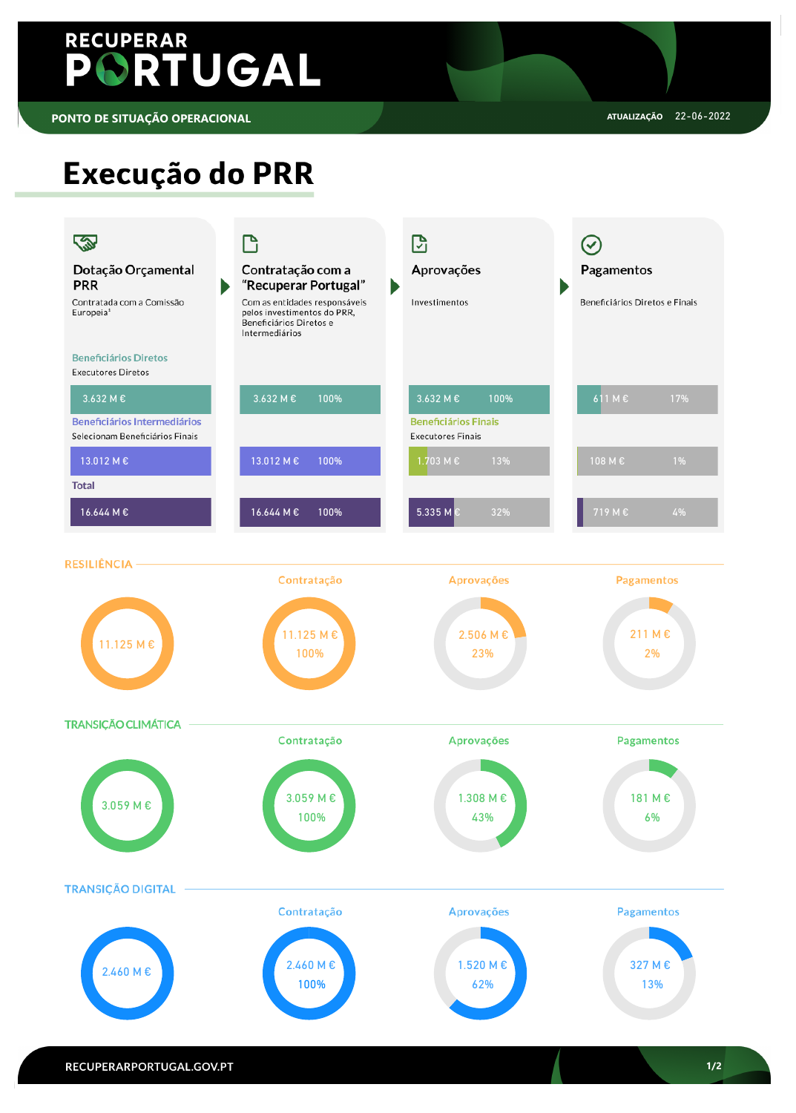

# PORTUGAL

# Execução do PRR